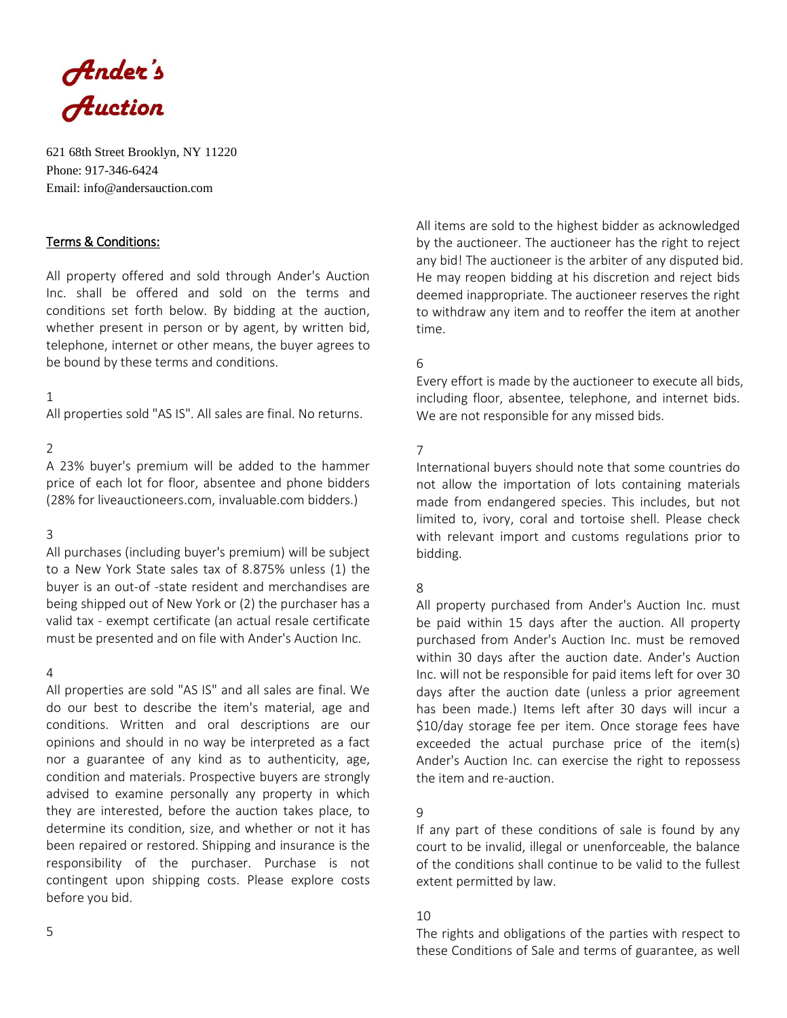

621 68th Street Brooklyn, NY 11220 Phone: 917-346-6424 Email: info@andersauction.com

# Terms & Conditions:

All property offered and sold through Ander's Auction Inc. shall be offered and sold on the terms and conditions set forth below. By bidding at the auction, whether present in person or by agent, by written bid, telephone, internet or other means, the buyer agrees to be bound by these terms and conditions.

### 1

All properties sold "AS IS". All sales are final. No returns.

### $\mathfrak{D}$

A 23% buyer's premium will be added to the hammer price of each lot for floor, absentee and phone bidders (28% for liveauctioneers.com, invaluable.com bidders.)

### 3

All purchases (including buyer's premium) will be subject to a New York State sales tax of 8.875% unless (1) the buyer is an out-of -state resident and merchandises are being shipped out of New York or (2) the purchaser has a valid tax - exempt certificate (an actual resale certificate must be presented and on file with Ander's Auction Inc.

### 4

All properties are sold "AS IS" and all sales are final. We do our best to describe the item's material, age and conditions. Written and oral descriptions are our opinions and should in no way be interpreted as a fact nor a guarantee of any kind as to authenticity, age, condition and materials. Prospective buyers are strongly advised to examine personally any property in which they are interested, before the auction takes place, to determine its condition, size, and whether or not it has been repaired or restored. Shipping and insurance is the responsibility of the purchaser. Purchase is not contingent upon shipping costs. Please explore costs before you bid.

All items are sold to the highest bidder as acknowledged by the auctioneer. The auctioneer has the right to reject any bid! The auctioneer is the arbiter of any disputed bid. He may reopen bidding at his discretion and reject bids deemed inappropriate. The auctioneer reserves the right to withdraw any item and to reoffer the item at another time.

### 6

Every effort is made by the auctioneer to execute all bids, including floor, absentee, telephone, and internet bids. We are not responsible for any missed bids.

# 7

International buyers should note that some countries do not allow the importation of lots containing materials made from endangered species. This includes, but not limited to, ivory, coral and tortoise shell. Please check with relevant import and customs regulations prior to bidding.

### 8

All property purchased from Ander's Auction Inc. must be paid within 15 days after the auction. All property purchased from Ander's Auction Inc. must be removed within 30 days after the auction date. Ander's Auction Inc. will not be responsible for paid items left for over 30 days after the auction date (unless a prior agreement has been made.) Items left after 30 days will incur a \$10/day storage fee per item. Once storage fees have exceeded the actual purchase price of the item(s) Ander's Auction Inc. can exercise the right to repossess the item and re-auction.

### 9

If any part of these conditions of sale is found by any court to be invalid, illegal or unenforceable, the balance of the conditions shall continue to be valid to the fullest extent permitted by law.

#### 10

The rights and obligations of the parties with respect to these Conditions of Sale and terms of guarantee, as well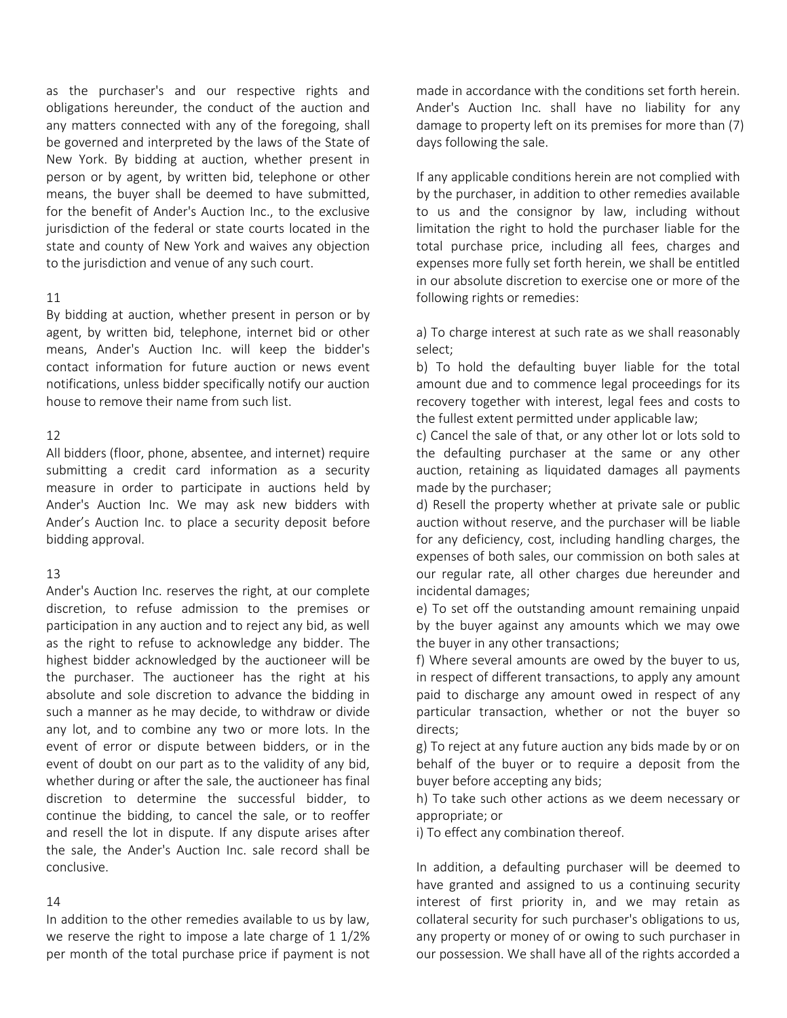as the purchaser's and our respective rights and obligations hereunder, the conduct of the auction and any matters connected with any of the foregoing, shall be governed and interpreted by the laws of the State of New York. By bidding at auction, whether present in person or by agent, by written bid, telephone or other means, the buyer shall be deemed to have submitted, for the benefit of Ander's Auction Inc., to the exclusive jurisdiction of the federal or state courts located in the state and county of New York and waives any objection to the jurisdiction and venue of any such court.

#### 11

By bidding at auction, whether present in person or by agent, by written bid, telephone, internet bid or other means, Ander's Auction Inc. will keep the bidder's contact information for future auction or news event notifications, unless bidder specifically notify our auction house to remove their name from such list.

### 12

All bidders (floor, phone, absentee, and internet) require submitting a credit card information as a security measure in order to participate in auctions held by Ander's Auction Inc. We may ask new bidders with Ander's Auction Inc. to place a security deposit before bidding approval.

### 13

Ander's Auction Inc. reserves the right, at our complete discretion, to refuse admission to the premises or participation in any auction and to reject any bid, as well as the right to refuse to acknowledge any bidder. The highest bidder acknowledged by the auctioneer will be the purchaser. The auctioneer has the right at his absolute and sole discretion to advance the bidding in such a manner as he may decide, to withdraw or divide any lot, and to combine any two or more lots. In the event of error or dispute between bidders, or in the event of doubt on our part as to the validity of any bid, whether during or after the sale, the auctioneer has final discretion to determine the successful bidder, to continue the bidding, to cancel the sale, or to reoffer and resell the lot in dispute. If any dispute arises after the sale, the Ander's Auction Inc. sale record shall be conclusive.

### 14

In addition to the other remedies available to us by law, we reserve the right to impose a late charge of 1 1/2% per month of the total purchase price if payment is not made in accordance with the conditions set forth herein. Ander's Auction Inc. shall have no liability for any damage to property left on its premises for more than (7) days following the sale.

If any applicable conditions herein are not complied with by the purchaser, in addition to other remedies available to us and the consignor by law, including without limitation the right to hold the purchaser liable for the total purchase price, including all fees, charges and expenses more fully set forth herein, we shall be entitled in our absolute discretion to exercise one or more of the following rights or remedies:

a) To charge interest at such rate as we shall reasonably select;

b) To hold the defaulting buyer liable for the total amount due and to commence legal proceedings for its recovery together with interest, legal fees and costs to the fullest extent permitted under applicable law;

c) Cancel the sale of that, or any other lot or lots sold to the defaulting purchaser at the same or any other auction, retaining as liquidated damages all payments made by the purchaser;

d) Resell the property whether at private sale or public auction without reserve, and the purchaser will be liable for any deficiency, cost, including handling charges, the expenses of both sales, our commission on both sales at our regular rate, all other charges due hereunder and incidental damages;

e) To set off the outstanding amount remaining unpaid by the buyer against any amounts which we may owe the buyer in any other transactions;

f) Where several amounts are owed by the buyer to us, in respect of different transactions, to apply any amount paid to discharge any amount owed in respect of any particular transaction, whether or not the buyer so directs;

g) To reject at any future auction any bids made by or on behalf of the buyer or to require a deposit from the buyer before accepting any bids;

h) To take such other actions as we deem necessary or appropriate; or

i) To effect any combination thereof.

In addition, a defaulting purchaser will be deemed to have granted and assigned to us a continuing security interest of first priority in, and we may retain as collateral security for such purchaser's obligations to us, any property or money of or owing to such purchaser in our possession. We shall have all of the rights accorded a